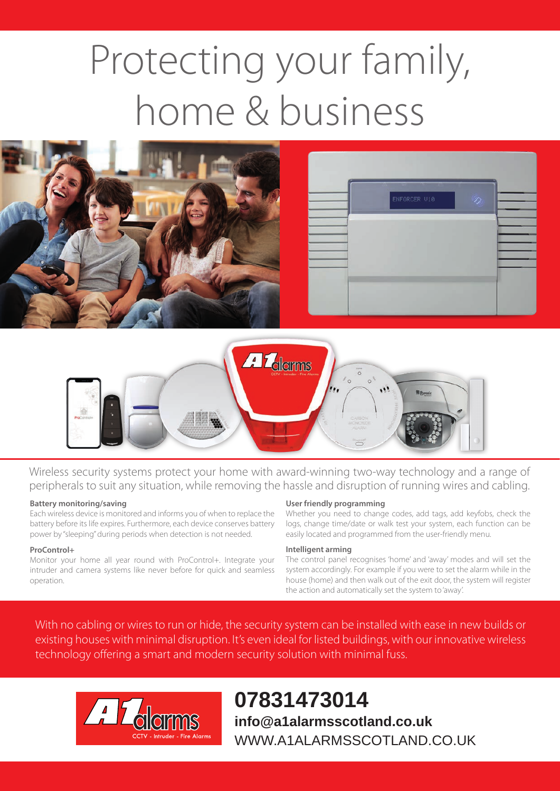# Protecting your family, home & business





Wireless security systems protect your home with award-winning two-way technology and a range of peripherals to suit any situation, while removing the hassle and disruption of running wires and cabling.

#### **Battery monitoring/saving**

Each wireless device is monitored and informs you of when to replace the battery before its life expires. Furthermore, each device conserves battery power by "sleeping" during periods when detection is not needed.

#### **ProControl+**

Monitor your home all year round with ProControl+. Integrate your intruder and camera systems like never before for quick and seamless operation.

#### **User friendly programming**

Whether you need to change codes, add tags, add keyfobs, check the logs, change time/date or walk test your system, each function can be easily located and programmed from the user-friendly menu.

#### **Intelligent arming**

The control panel recognises 'home' and 'away' modes and will set the system accordingly. For example if you were to set the alarm while in the house (home) and then walk out of the exit door, the system will register the action and automatically set the system to 'away'.

With no cabling or wires to run or hide, the security system can be installed with ease in new builds or existing houses with minimal disruption. It's even ideal for listed buildings, with our innovative wireless technology offering a smart and modern security solution with minimal fuss.



**07831473014 info@a1alarmsscotland.co.uk** WWW.A1ALARMSSCOTLAND.CO.UK